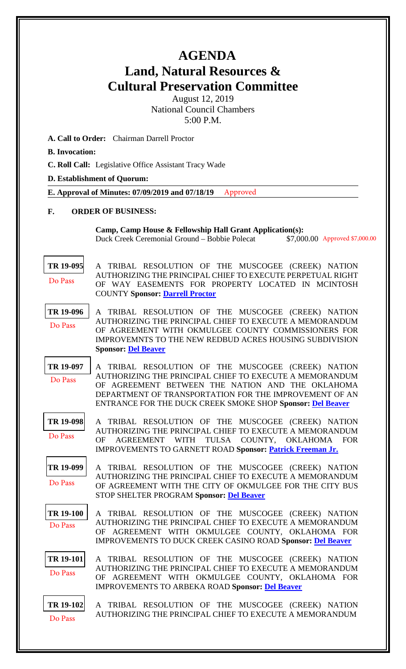## **AGENDA Land, Natural Resources & Cultural Preservation Committee**

August 12, 2019 National Council Chambers 5:00 P.M.

- **A. Call to Order:** Chairman Darrell Proctor
- **B. Invocation:**
- **C. Roll Call:** Legislative Office Assistant Tracy Wade

**D. Establishment of Quorum:** 

**E. Approval of Minutes: 07/09/2019 and 07/18/19** Approved

## **F. ORDER OF BUSINESS:**

**Camp, Camp House & Fellowship Hall Grant Application(s):** Duck Creek Ceremonial Ground - Bobbie Polecat \$7,000.00 Approved \$7,000.00

**[TR 19-095](bills/19-095.pdf)** A TRIBAL RESOLUTION OF THE MUSCOGEE (CREEK) NATION AUTHORIZING THE PRINCIPAL CHIEF TO EXECUTE PERPETUAL RIGHT OF WAY EASEMENTS FOR PROPERTY LOCATED IN MCINTOSH COUNTY **Sponsor: [Darrell Proctor](mailto:mrdproctorl@mcn-nsn.gov)** Do Pass

**[TR 19-096](bills/19-096.pdf)** A TRIBAL RESOLUTION OF THE MUSCOGEE (CREEK) NATION AUTHORIZING THE PRINCIPAL CHIEF TO EXECUTE A MEMORANDUM OF AGREEMENT WITH OKMULGEE COUNTY COMMISSIONERS FOR IMPROVEMNTS TO THE NEW REDBUD ACRES HOUSING SUBDIVISION **Sponsor: [Del Beaver](mailto:mailtopbeaver@mcn-nsn.gov)** Do Pass

**[TR 19-097](bills/19-097.pdf)** A TRIBAL RESOLUTION OF THE MUSCOGEE (CREEK) NATION AUTHORIZING THE PRINCIPAL CHIEF TO EXECUTE A MEMORANDUM OF AGREEMENT BETWEEN THE NATION AND THE OKLAHOMA DEPARTMENT OF TRANSPORTATION FOR THE IMPROVEMENT OF AN ENTRANCE FOR THE DUCK CREEK SMOKE SHOP **Sponsor: [Del Beaver](mailto:mailtopbeaver@mcn-nsn.gov)** Do Pass

**[TR 19-098](bills/19-098.pdf)** A TRIBAL RESOLUTION OF THE MUSCOGEE (CREEK) NATION AUTHORIZING THE PRINCIPAL CHIEF TO EXECUTE A MEMORANDUM OF AGREEMENT WITH TULSA COUNTY, OKLAHOMA FOR IMPROVEMENTS TO GARNETT ROAD **Sponsor: [Patrick Freeman Jr.](mailto:mrpfreeman@mcn-nsn.gov)** Do Pass

**[TR 19-099](bills/19-099.pdf)** A TRIBAL RESOLUTION OF THE MUSCOGEE (CREEK) NATION AUTHORIZING THE PRINCIPAL CHIEF TO EXECUTE A MEMORANDUM OF AGREEMENT WITH THE CITY OF OKMULGEE FOR THE CITY BUS STOP SHELTER PROGRAM **Sponsor: [Del Beaver](mailto:mailtopbeaver@mcn-nsn.gov)** Do Pass

**[TR 19-100](bills/19-100.pdf)** A TRIBAL RESOLUTION OF THE MUSCOGEE (CREEK) NATION AUTHORIZING THE PRINCIPAL CHIEF TO EXECUTE A MEMORANDUM OF AGREEMENT WITH OKMULGEE COUNTY, OKLAHOMA FOR IMPROVEMENTS TO DUCK CREEK CASINO ROAD **Sponsor: [Del Beaver](mailto:mailtopbeaver@mcn-nsn.gov)** Do Pass

**[TR 19-101](bills/19-101.pdf)** A TRIBAL RESOLUTION OF THE MUSCOGEE (CREEK) NATION AUTHORIZING THE PRINCIPAL CHIEF TO EXECUTE A MEMORANDUM OF AGREEMENT WITH OKMULGEE COUNTY, OKLAHOMA FOR IMPROVEMENTS TO ARBEKA ROAD **Sponsor: [Del Beaver](mailto:mailtopbeaver@mcn-nsn.gov)** Do Pass

**[TR 19-102](bills/19-102.pdf)** A TRIBAL RESOLUTION OF THE MUSCOGEE (CREEK) NATION AUTHORIZING THE PRINCIPAL CHIEF TO EXECUTE A MEMORANDUM Do Pass